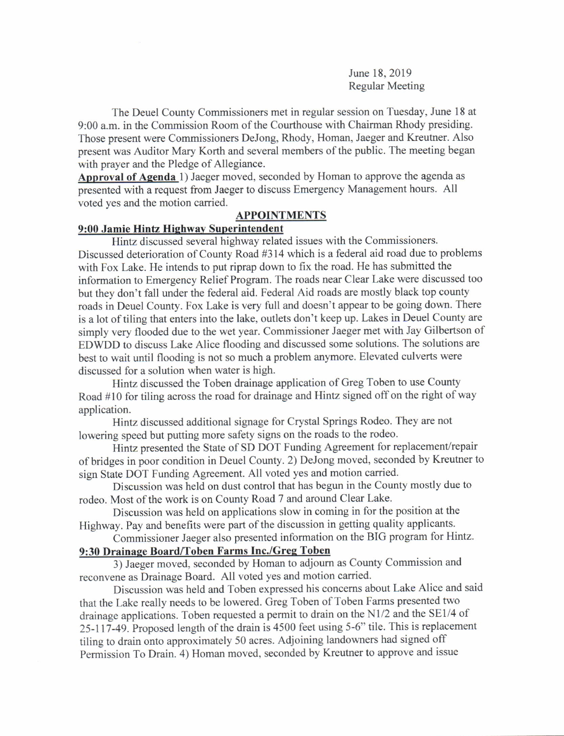June 18,2019 Regular Meeting

The Deuel County Commissioners met in regular session on Tuesday, June 18 at 9:00 a.m. in the Commission Room of the Courthouse with Chairman Rhody presiding. Those present were Commissioners DeJong, Rhody, Homan, Jaeger and Kreutner. Also present was Auditor Mary Korth and several members of the public. The meeting began with prayer and the Pledge of Allegiance.

Approval of Agenda 1) Jaeger moved, seconded by Homan to approve the agenda as presented with a request from Jaeger to discuss Emergency Management hours. All voted yes and the motion carried.

# APPOINTMENTS

## 9:00 Jamie Hintz Highway Superintendent

Hintz discussed several highway related issues with the Commissioners. Discussed deterioration of County Road #314 which is a federal aid road due to problems with Fox Lake. He intends to put riprap down to fix the road. He has submitted the information to Emergency Relief Program. The roads near Clear Lake were discussed too but they don't fall under the federal aid. Federal Aid roads are mostly black top county roads in Deuel County. Fox Lake is very full and doesn't appear to be going down. There is a lot of tiling that enters into the lake, outlets don't keep up. Lakes in Deuel County are simply very flooded due to the wet year. Commissioner Jaeger met with Jay Gilbertson of EDWDD to discuss Lake Alice flooding and discussed some solutions. The solutions are best to wait until flooding is not so much a problem anymore. Elevated culverts were discussed for a solution when water is high.

Hintz discussed the Toben drainage application of Greg Toben to use County Road #10 for tiling across the road for drainage and Hintz signed off on the right of way application.

Hintz discussed additional signage for Crystal Springs Rodeo. They are not lowering speed but putting more safety signs on the roads to the rodeo.

Hintz presented the State of SD DOT Funding Agreement for replacement/repair of bridges in poor condition in Deuel County. 2) DeJong moved, seconded by Kreutner to sign State DOT Funding Agreement. All voted yes and motion carried.

Discussion was held on dust control that has begun in the County mostly due to rodeo. Most of the work is on County Road 7 and around Clear Lake.

Discussion was held on applications slow in coming in for the position at the Highway. Pay and benefits were part of the discussion in getting quality applicants.

Commissioner Jaeger also presented information on the BIG program for Hintz. 9:30 Drainage Board/Toben Farms Inc./Greg Toben

3) Jaeger moved, seconded by Homan to adjoum as County Commission and reconvene as Drainage Board. All voted yes and motion carried.

Discussion was held and Toben expressed his concems about Lake Alice and said that the Lake really needs to be lowered. Greg Toben of Toben Farms presented two drainage applications. Toben requested a permit to drain on the N1/2 and the SE1/4 of 25-117-49. Proposed length of the drain is 4500 feet using 5-6" tile. This is replacement tiling to drain onto approximately 50 acres. Adjoining landowners had signed off Permission To Drain. 4) Homan moved, seconded by Kreutner to approve and issue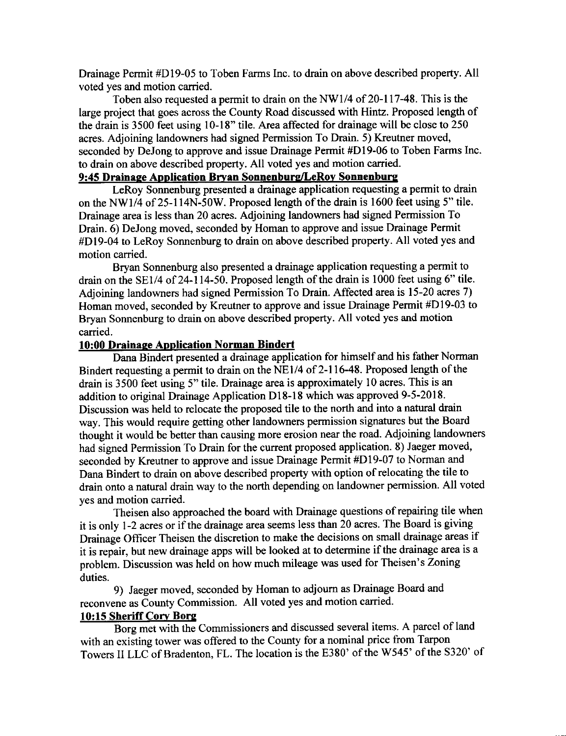Drainage Permit #D19-05 to Toben Farms Inc. to drain on above described property. All voted yes and motion carried.

Toben also requested a permit to drain on the NWl14 of 20-ll7-48. This is the large project that goes across the County Road discussed with Hintz. Proposed length of the drain is 3500 feet using 10-18" tile. Area affected for drainage will be close to 250 acres. Adjoining landowners had signed Permission To Drain. 5) Kreutner moved, seconded by DeJong to approve and issue Drainage Permit #Dl9-06 to Toben Farms Inc. to drain on above described property. All voted yes and motion carried.

## 9:45 Drainage Application Bryan Sonnenburg/LeRoy Sonnenburg

LeRoy Sonnenburg presented a drainage application requesting a permit to drain on the NWI/4 of 25-114N-50W. Proposed length of the drain is 1600 feet using 5" tile. Drainage area is less than 20 acres. Adjoining landowners had signed Permission To Drain. 6) DeJong moved, seconded by Homan to approve and issue Drainage Permit #Dl9-04 to LeRoy Sorurenburg to drain on above described property. All voted yes and motion carried.

Bryan Sonnenburg also presented a drainage application requesting a permit to drain on the SE1/4 of 24-114-50. Proposed length of the drain is 1000 feet using 6" tile. Adjoining landowners had signed Permission To Drain. Affected area is 15-20 acres 7) Homan moved, seconded by Kreutner to approve and issue Drainage Permit #D19-03 to Bryan Sonnenburg to drain on above described property. All voted yes and motion carried.

## 10:00 Drainaee Aoplication Norman Bindert

Dana Bindert presented a drainage application for himself and his father Norman Bindert requesting a permit to drain on the  $\overline{NE1/4}$  of 2-116-48. Proposed length of the drain is 3500 feet using 5" tile. Drainage area is approximately 10 acres. This is an addition to original Drainage Application D18-18 which was approved 9-5-2018. Discussion was held to relocate the proposed tile to the north and into a natural drain way. This would require getting other landowners permission signatures but the Board thought it would be better than causing more erosion near the road. Adjoining landowners had signed Permission To Drain for the current proposed application. 8) Jaeger moved, seconded by Kreutner to approve and issue Drainage Permit #D19-07 to Norman and Dana Bindert to drain on above described property with option of relocating the tile to drain onto a natural drain way to the north depending on landowner permission. All voted yes and motion carried.

Theisen also approached the board with Drainage questions of repairing tile when it is only 1-2 acres or if the drainage area seems less than 20 acres. The Board is giving Drainage officer Theisen the discretion to make the decisions on small drainage areas if it is repair, but new drainage apps will be looked at to determine if the drainage area is a problem. Discussion was held on how much mileage was used for Theisen's Zoning duties.

9) Jaeger moved, seconded by Homan to adjoum as Drainage Board and reconvene as County Commission. All voted yes and motion carried.

# 10:15 Sheriff Corv Bore

Borg met with the Commissioners and discussed several items. A parcel of land with an existing tower was offered to the County for a nominal price from Tarpon Towers II LLC of Bradenton, FL. The location is the E380' of the W545' of the S320' of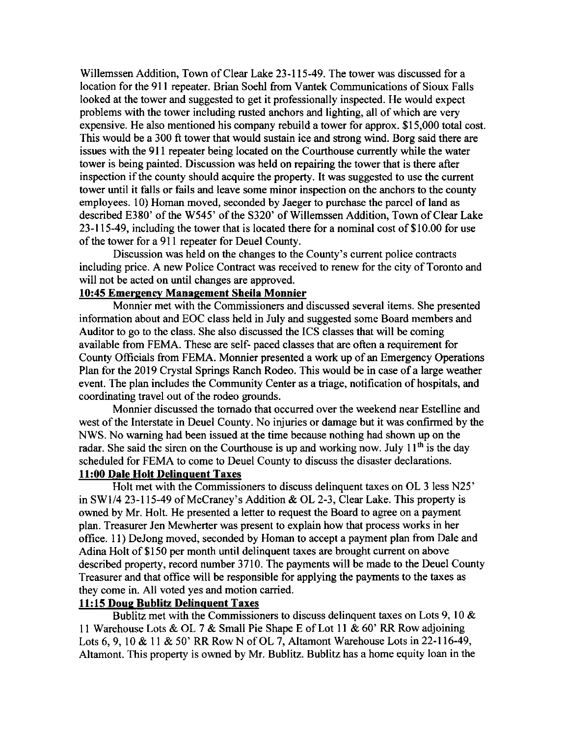Willemssen Addition, Town of Clear Lake 23-115-49. The tower was discussed for a location for the 911 repeater. Brian Soehl from Vantek Communications of Sioux Falls looked at the tower and suggested to get it professionally inspected. He would expect problems with the tower including rusted anchors and lighting, all of which are very expensive. He also mentioned his company rebuild a tower for approx. \$15,000 total cost. This would be a 300 ft tower that would sustain ice and strong wind. Borg said there are issues with the 9l I repeater being located on the Courthouse currently while the water tower is being painted. Discussion was held on repairing the tower that is there after inspection if the county should acquire the property. It was suggested to use the current tower until it falls or fails and leave some minor inspection on the anchors to the county employees. 10) Homan moved, seconded by Jaeger to purchase the parcel of land as described E380' of the W545' of the 5320' of Willemssen Addition, Town of Clear Lake 23-115-49, including the tower that is located there for a nominal cost of \$10.00 for use of the tower for a 911 repeater for Deuel County.

Discussion was held on the changes to the County's current police contracts including price. A new Police Contract was received to renew for the city of Toronto and will not be acted on until changes are approved.

## 10:45 Emereency Management Sheila Monnier

Monnier met with the Commissioners and discussed several items. She presented information about and EOC class held in July and suggested some Board members and Auditor to go to the class. She also discussed the ICS classes that will be coming available from FEMA. These are self- paced classes that are often a requirement for County Officials from FEMA. Monnier presented a work up of an Emergency Operations Plan for the 2019 Crystal Springs Ranch Rodeo. This would be in case of a large weather event. The plan includes the Community Center as a triage, notification of hospitals, and coordinating travel out of the rodeo grourds.

Monnier discussed the tomado that occurred over the weekend near Estelline and west of the Interstate in Deuel County. No injuries or damage but it was confirmed by the NWS. No waming had been issued at the time because nothing had shown up on the radar. She said the siren on the Courthouse is up and working now. July  $11<sup>th</sup>$  is the day scheduled for FEMA to come to Deuel County to discuss the disaster declarations.

## 11:00 Dale Holt Delinquent Taxes

Holt met with the Commissioners to discuss delinquent taxes on OL 3 less N25' in SW1/4 23-115-49 of McCraney's Addition & OL 2-3, Clear Lake. This property is owned by Mr. Holt. He presented a letter to request the Board to agree on a payment plan. Treasurer Jen Mewherter was present to explain how that process works in her office. 1 <sup>I</sup>) DeJong moved, seconded by Homan to accept a payment plan from Dale and Adina Holt of \$150 per month until delinquent taxes are brought current on above described property, record number 3710. The payments will be made to the Deuel County Treasurer and that office will be responsible for applying the payments to the taxes as they come in. All voted yes and motion carried.

## 11:15 Doug Bublitz Delinquent Taxes

Bublitz met with the Commissioners to discuss delinquent taxes on Lots 9, 10  $\&$ 11 Warehouse Lots & OL 7 & Small Pie Shape E of Lot 1l & 60' RR Row adjoining Lots 6, 9, 10 & 11 & 50' RR Row N of OL 7, Altamont Warehouse Lots in 22-116-49, Altamont. This property is owned by Mr. Bublitz. Bublitz has a home equity loan in the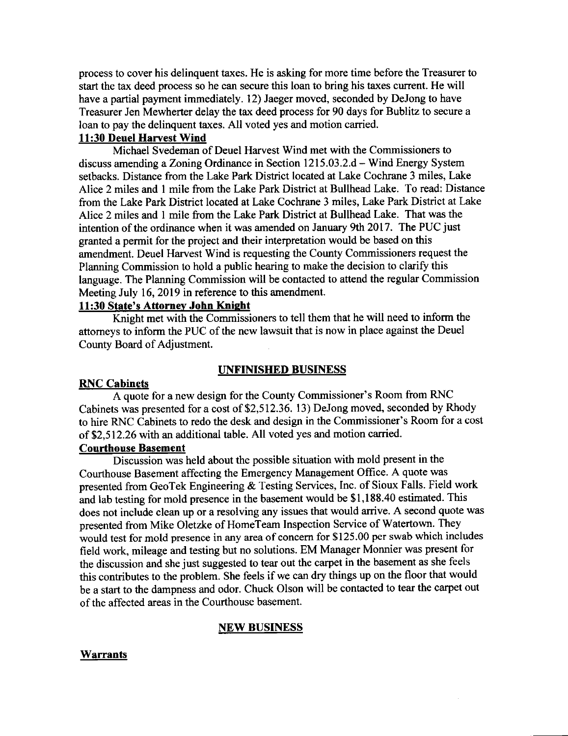process to cover his delinquent taxes. He is asking for more time before the Treasurer to start the tax deed process so he can secure this loan to bring his taxes current. He will have a partial payment immediately. 12) Jaeger moved, seconded by DeJong to have Treasurer Jen Mewherter delay the tax deed process for 90 days for Bublitz to secure a loan to pay the delinquent taxes. All voted yes and motion carried.

### 11:30 Deuel Harvest Wind

Michael Svedeman of Deuel Harvest Wind met with the Commissioners to discuss amending a Zoning Ordinance in Section 1215.03.2.d - Wind Energy System setbacks. Distance from the Lake Park District located at Lake Cochrane 3 miles, Lake Alice 2 miles and 1 mile from the Lake Park District at Bullhead Lake. To read: Distance from the Lake Park District located at Lake Cochrane 3 miles, Lake Park District at Lake Alice 2 miles and 1 mile from the Lake Park District at Bullhead Lake. That was the intention of the ordinance when it was amended on January 9th 2017. The PUC just granted a permit for the project and their interpretation would be based on this amendment. Deuel Harvest Wind is requesting the County Commissioners request the Planning Commission to hold a public hearing to make the decision to clarify this language. The Planning Commission will be contacted to attend the regular Commission Meeting July 16,2019 in reference to this amendment.

#### 11:30 State's Attorney John Knight

Knight met with the Commissioners to tell them that he will need to inform the attomeys to inform the PUC of the new lawsuit that is now in place against the Deuel County Board of Adjustment.

#### UNFINISHED BUSINESS

## RNC Cabinets

A quote for a new design for the County Commissioner's Room from RNC Cabinets was presented for a cost of\$2,512.36. 13) DeJong moved, seconded by Rhody to hire RNC Cabinets to redo the desk and design in the Commissioner's Room for a cost of \$2,512.26 with an additional table. All voted yes and motion carried.

### Courthouse Basement

Discussion was held about the possible situation with mold present in the Courthouse Basement affecting the Emergency Management Office. A quote was presented from GeoTek Engineering & Testing Services, Inc. of Sioux Falls. Field work and lab testing for mold presence in the basement would be \$1,188.40 estimated. This does not include clean up or a resolving any issues that would arrive. A second quote was presented from Mike Oletzke of HomeTeam Inspection Service of Watertown. They would test for mold presence in any area of concern for \$125.00 per swab which includes field work, mileage and testing but no solutions. EM Manager Monnier was present for the discussion and she just suggested to tear out the carpet in the basement as she feels this contributes to the problem. She feels if we can dry things up on the floor that would be a start to the dampness and odor. Chuck Olson will be contacted to tear the carpet out ofthe affected areas in the Courthouse basement.

## NEW BUSINESS

#### **Warrants**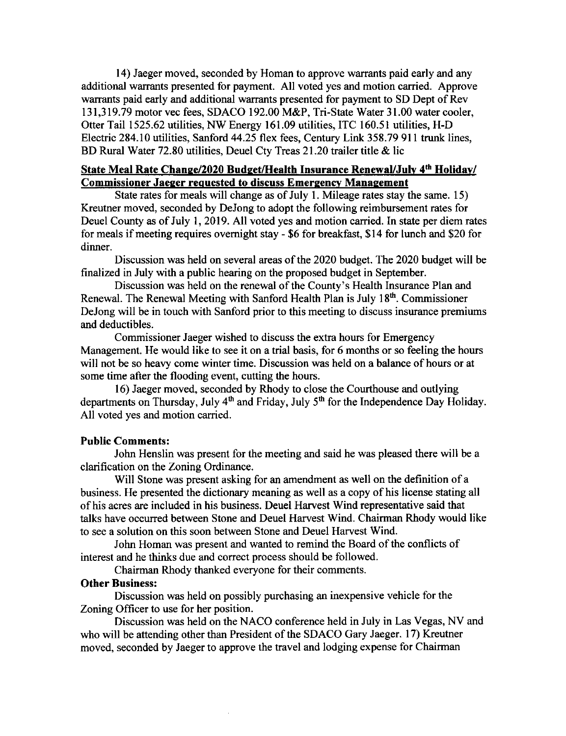14) Jaeger moved, seconded by Homan to approve warrants paid early and any additional warrants presented for payment. All voted yes and motion carried. Approve warrants paid early and additional warrants presented for payment to SD Dept of Rev 131,319.79 motor vec fees, SDACO 192.00 M&P, Tri-State Water 31.00 water cooler, Otter Tail 1525.62 utilities, NW Energy 161.09 utilities, ITC 160.51 utilities, H-D Electric 284.10 utilities, Sanford 44.25 flex fees, Century Link 358.79 911 trunk lines, BD Rural Water 72.80 utilities, Deuel Cty Treas 21.20 trailer title & lic

#### State Meal Rate Change/2020 Budget/Health Insurance Renewal/July 4<sup>th</sup> Holiday/ Commissioner Jaeqer requested to discuss Emergencv Manaqement

State rates for meals will change as of July 1. Mileage rates stay the same. 15) Kreutner moved, seconded by DeJong to adopt the following reimbursement rates for Deuel County as of July 1, 2019. All voted yes and motion carried. In state per diem rates for meals if meeting requires ovemight stay - \$6 for breakfast, \$14 for lunch and \$20 for dinner.

Discussion was held on several areas ofthe 2020 budget. The 2020 budget will be frnalized in July with a public hearing on the proposed budget in September.

Discussion was held on the renewal of the County's Health Insurance Plan and Renewal. The Renewal Meeting with Sanford Health Plan is July 18<sup>th</sup>. Commissioner DeJong will be in touch with Sanford prior to this meeting to discuss insurance premiums and deductibles.

Commissioner Jaeger wished to discuss the extra hours for Emergency Management. He would like to see it on a trial basis, for 6 months or so feeling the hours will not be so heavy come winter time. Discussion was held on a balance of hours or at some time after the flooding event, cutting the hours.

16) Jaeger moved, seconded by Rhody to close the Courthouse and outlying departments on Thursday, July 4<sup>th</sup> and Friday, July 5<sup>th</sup> for the Independence Day Holiday. All voted yes and motion carried.

## Public Comments:

John Henslin was present for the meeting and said he was pleased there will be a clarification on the Zoning Ordinance.

Will Stone was present asking for an amendment as well on the definition of a business. He presented the dictionary meaning as well as a copy of his license stating all ofhis acres are included in his business. Deuel Harvest Wind representative said that talks have occurred between Stone and Deuel Harvest Wind. Chairman Rhody would like to see a solution on this soon between Stone and Deuel Harvest Wind.

John Homan was present and wanted to remind the Board of the conflicts of interest and he thinks due and correct process should be followed.

Chairman Rhody thanked everyone for their comments.

## Other Business:

Discussion was held on possibly purchasing an inexpensive vehicle for the Zoning Officer to use for her position.

Discussion was held on the NACO conference held in July in Las Vegas, NV and who will be attending other than President of the SDACO Gary Jaeger. 17) Kreutner moved, seconded by Jaeger to approve the travel and lodging expense for Chairman